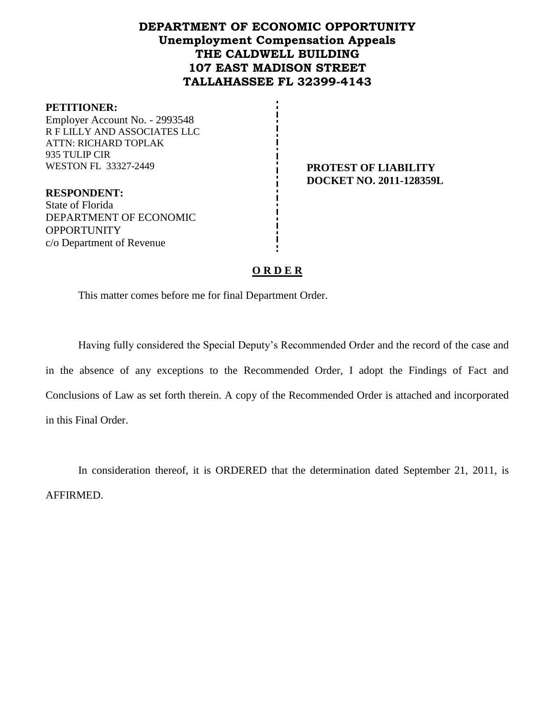# **DEPARTMENT OF ECONOMIC OPPORTUNITY Unemployment Compensation Appeals THE CALDWELL BUILDING 107 EAST MADISON STREET TALLAHASSEE FL 32399-4143**

#### **PETITIONER:**

Employer Account No. - 2993548 R F LILLY AND ASSOCIATES LLC ATTN: RICHARD TOPLAK 935 TULIP CIR WESTON FL 33327-2449 **PROTEST OF LIABILITY** 

**RESPONDENT:** State of Florida DEPARTMENT OF ECONOMIC **OPPORTUNITY** c/o Department of Revenue

# **DOCKET NO. 2011-128359L**

# **O R D E R**

This matter comes before me for final Department Order.

Having fully considered the Special Deputy's Recommended Order and the record of the case and in the absence of any exceptions to the Recommended Order, I adopt the Findings of Fact and Conclusions of Law as set forth therein. A copy of the Recommended Order is attached and incorporated in this Final Order.

In consideration thereof, it is ORDERED that the determination dated September 21, 2011, is AFFIRMED.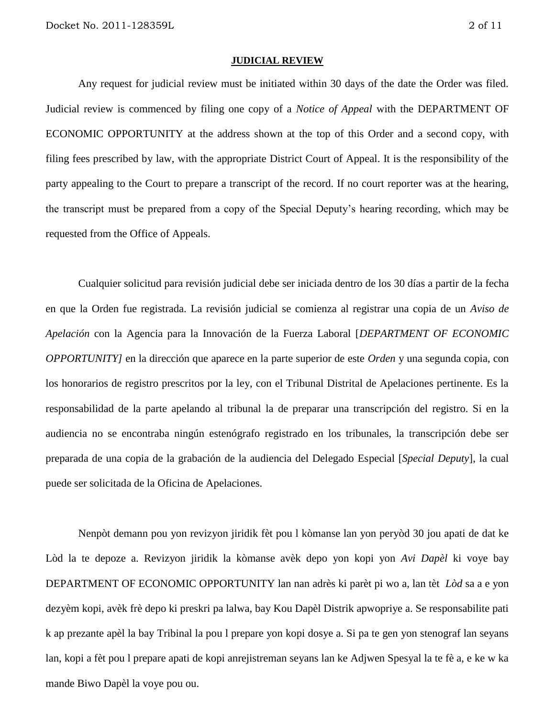#### **JUDICIAL REVIEW**

Any request for judicial review must be initiated within 30 days of the date the Order was filed. Judicial review is commenced by filing one copy of a *Notice of Appeal* with the DEPARTMENT OF ECONOMIC OPPORTUNITY at the address shown at the top of this Order and a second copy, with filing fees prescribed by law, with the appropriate District Court of Appeal. It is the responsibility of the party appealing to the Court to prepare a transcript of the record. If no court reporter was at the hearing, the transcript must be prepared from a copy of the Special Deputy's hearing recording, which may be requested from the Office of Appeals.

Cualquier solicitud para revisión judicial debe ser iniciada dentro de los 30 días a partir de la fecha en que la Orden fue registrada. La revisión judicial se comienza al registrar una copia de un *Aviso de Apelación* con la Agencia para la Innovación de la Fuerza Laboral [*DEPARTMENT OF ECONOMIC OPPORTUNITY]* en la dirección que aparece en la parte superior de este *Orden* y una segunda copia, con los honorarios de registro prescritos por la ley, con el Tribunal Distrital de Apelaciones pertinente. Es la responsabilidad de la parte apelando al tribunal la de preparar una transcripción del registro. Si en la audiencia no se encontraba ningún estenógrafo registrado en los tribunales, la transcripción debe ser preparada de una copia de la grabación de la audiencia del Delegado Especial [*Special Deputy*], la cual puede ser solicitada de la Oficina de Apelaciones.

Nenpòt demann pou yon revizyon jiridik fèt pou l kòmanse lan yon peryòd 30 jou apati de dat ke Lòd la te depoze a. Revizyon jiridik la kòmanse avèk depo yon kopi yon *Avi Dapèl* ki voye bay DEPARTMENT OF ECONOMIC OPPORTUNITY lan nan adrès ki parèt pi wo a, lan tèt *Lòd* sa a e yon dezyèm kopi, avèk frè depo ki preskri pa lalwa, bay Kou Dapèl Distrik apwopriye a. Se responsabilite pati k ap prezante apèl la bay Tribinal la pou l prepare yon kopi dosye a. Si pa te gen yon stenograf lan seyans lan, kopi a fèt pou l prepare apati de kopi anrejistreman seyans lan ke Adjwen Spesyal la te fè a, e ke w ka mande Biwo Dapèl la voye pou ou.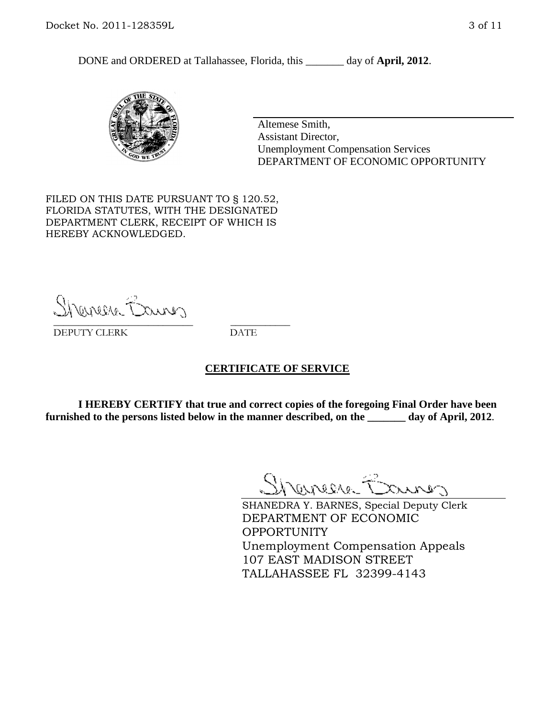DONE and ORDERED at Tallahassee, Florida, this day of **April, 2012**.



Altemese Smith, Assistant Director, Unemployment Compensation Services DEPARTMENT OF ECONOMIC OPPORTUNITY

FILED ON THIS DATE PURSUANT TO § 120.52, FLORIDA STATUTES, WITH THE DESIGNATED DEPARTMENT CLERK, RECEIPT OF WHICH IS HEREBY ACKNOWLEDGED.

Shenesse Bainer \_\_\_\_\_\_\_\_\_\_\_\_\_\_\_\_\_\_\_\_\_\_\_\_\_\_\_\_ \_\_\_\_\_\_\_\_\_\_\_\_

DEPUTY CLERK DATE

#### **CERTIFICATE OF SERVICE**

**I HEREBY CERTIFY that true and correct copies of the foregoing Final Order have been furnished to the persons listed below in the manner described, on the \_\_\_\_\_\_\_ day of April, 2012**.

Shaner Barnes

SHANEDRA Y. BARNES, Special Deputy Clerk DEPARTMENT OF ECONOMIC OPPORTUNITY Unemployment Compensation Appeals 107 EAST MADISON STREET TALLAHASSEE FL 32399-4143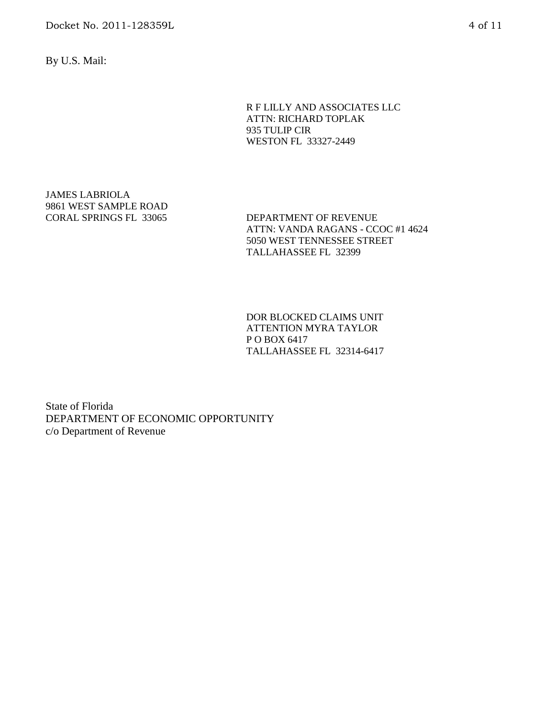Docket No. 2011-128359L 4 of 11

By U.S. Mail:

R F LILLY AND ASSOCIATES LLC ATTN: RICHARD TOPLAK 935 TULIP CIR WESTON FL 33327-2449

JAMES LABRIOLA 9861 WEST SAMPLE ROAD

CORAL SPRINGS FL 33065 DEPARTMENT OF REVENUE ATTN: VANDA RAGANS - CCOC #1 4624 5050 WEST TENNESSEE STREET TALLAHASSEE FL 32399

> DOR BLOCKED CLAIMS UNIT ATTENTION MYRA TAYLOR P O BOX 6417 TALLAHASSEE FL 32314-6417

State of Florida DEPARTMENT OF ECONOMIC OPPORTUNITY c/o Department of Revenue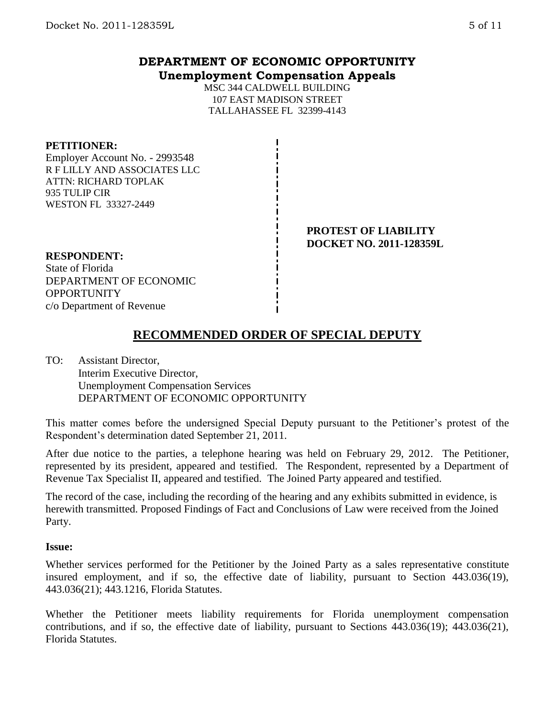# **DEPARTMENT OF ECONOMIC OPPORTUNITY Unemployment Compensation Appeals**

MSC 344 CALDWELL BUILDING 107 EAST MADISON STREET TALLAHASSEE FL 32399-4143

#### **PETITIONER:**

Employer Account No. - 2993548 R F LILLY AND ASSOCIATES LLC ATTN: RICHARD TOPLAK 935 TULIP CIR WESTON FL 33327-2449

> **PROTEST OF LIABILITY DOCKET NO. 2011-128359L**

#### **RESPONDENT:**

State of Florida DEPARTMENT OF ECONOMIC **OPPORTUNITY** c/o Department of Revenue

# **RECOMMENDED ORDER OF SPECIAL DEPUTY**

TO: Assistant Director, Interim Executive Director, Unemployment Compensation Services DEPARTMENT OF ECONOMIC OPPORTUNITY

This matter comes before the undersigned Special Deputy pursuant to the Petitioner's protest of the Respondent's determination dated September 21, 2011.

After due notice to the parties, a telephone hearing was held on February 29, 2012. The Petitioner, represented by its president, appeared and testified. The Respondent, represented by a Department of Revenue Tax Specialist II, appeared and testified. The Joined Party appeared and testified.

The record of the case, including the recording of the hearing and any exhibits submitted in evidence, is herewith transmitted. Proposed Findings of Fact and Conclusions of Law were received from the Joined Party.

#### **Issue:**

Whether services performed for the Petitioner by the Joined Party as a sales representative constitute insured employment, and if so, the effective date of liability, pursuant to Section 443.036(19), 443.036(21); 443.1216, Florida Statutes.

Whether the Petitioner meets liability requirements for Florida unemployment compensation contributions, and if so, the effective date of liability, pursuant to Sections 443.036(19); 443.036(21), Florida Statutes.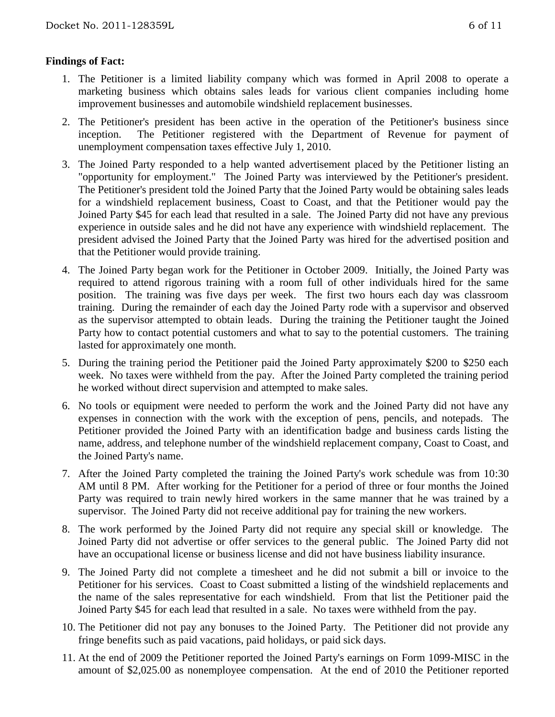# **Findings of Fact:**

- 1. The Petitioner is a limited liability company which was formed in April 2008 to operate a marketing business which obtains sales leads for various client companies including home improvement businesses and automobile windshield replacement businesses.
- 2. The Petitioner's president has been active in the operation of the Petitioner's business since inception. The Petitioner registered with the Department of Revenue for payment of unemployment compensation taxes effective July 1, 2010.
- 3. The Joined Party responded to a help wanted advertisement placed by the Petitioner listing an "opportunity for employment." The Joined Party was interviewed by the Petitioner's president. The Petitioner's president told the Joined Party that the Joined Party would be obtaining sales leads for a windshield replacement business, Coast to Coast, and that the Petitioner would pay the Joined Party \$45 for each lead that resulted in a sale. The Joined Party did not have any previous experience in outside sales and he did not have any experience with windshield replacement. The president advised the Joined Party that the Joined Party was hired for the advertised position and that the Petitioner would provide training.
- 4. The Joined Party began work for the Petitioner in October 2009. Initially, the Joined Party was required to attend rigorous training with a room full of other individuals hired for the same position. The training was five days per week. The first two hours each day was classroom training. During the remainder of each day the Joined Party rode with a supervisor and observed as the supervisor attempted to obtain leads. During the training the Petitioner taught the Joined Party how to contact potential customers and what to say to the potential customers. The training lasted for approximately one month.
- 5. During the training period the Petitioner paid the Joined Party approximately \$200 to \$250 each week. No taxes were withheld from the pay. After the Joined Party completed the training period he worked without direct supervision and attempted to make sales.
- 6. No tools or equipment were needed to perform the work and the Joined Party did not have any expenses in connection with the work with the exception of pens, pencils, and notepads. The Petitioner provided the Joined Party with an identification badge and business cards listing the name, address, and telephone number of the windshield replacement company, Coast to Coast, and the Joined Party's name.
- 7. After the Joined Party completed the training the Joined Party's work schedule was from 10:30 AM until 8 PM. After working for the Petitioner for a period of three or four months the Joined Party was required to train newly hired workers in the same manner that he was trained by a supervisor. The Joined Party did not receive additional pay for training the new workers.
- 8. The work performed by the Joined Party did not require any special skill or knowledge. The Joined Party did not advertise or offer services to the general public. The Joined Party did not have an occupational license or business license and did not have business liability insurance.
- 9. The Joined Party did not complete a timesheet and he did not submit a bill or invoice to the Petitioner for his services. Coast to Coast submitted a listing of the windshield replacements and the name of the sales representative for each windshield. From that list the Petitioner paid the Joined Party \$45 for each lead that resulted in a sale. No taxes were withheld from the pay.
- 10. The Petitioner did not pay any bonuses to the Joined Party. The Petitioner did not provide any fringe benefits such as paid vacations, paid holidays, or paid sick days.
- 11. At the end of 2009 the Petitioner reported the Joined Party's earnings on Form 1099-MISC in the amount of \$2,025.00 as nonemployee compensation. At the end of 2010 the Petitioner reported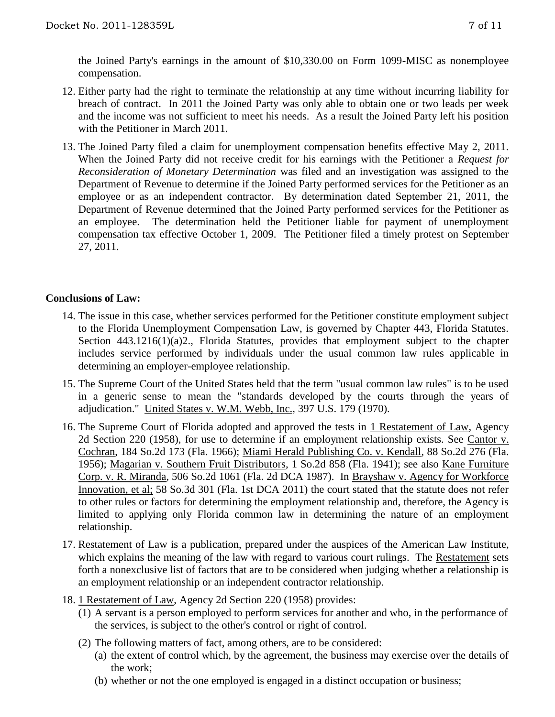the Joined Party's earnings in the amount of \$10,330.00 on Form 1099-MISC as nonemployee compensation.

- 12. Either party had the right to terminate the relationship at any time without incurring liability for breach of contract. In 2011 the Joined Party was only able to obtain one or two leads per week and the income was not sufficient to meet his needs. As a result the Joined Party left his position with the Petitioner in March 2011.
- 13. The Joined Party filed a claim for unemployment compensation benefits effective May 2, 2011. When the Joined Party did not receive credit for his earnings with the Petitioner a *Request for Reconsideration of Monetary Determination* was filed and an investigation was assigned to the Department of Revenue to determine if the Joined Party performed services for the Petitioner as an employee or as an independent contractor. By determination dated September 21, 2011, the Department of Revenue determined that the Joined Party performed services for the Petitioner as an employee. The determination held the Petitioner liable for payment of unemployment compensation tax effective October 1, 2009. The Petitioner filed a timely protest on September 27, 2011.

# **Conclusions of Law:**

- 14. The issue in this case, whether services performed for the Petitioner constitute employment subject to the Florida Unemployment Compensation Law, is governed by Chapter 443, Florida Statutes. Section 443.1216(1)(a)2., Florida Statutes, provides that employment subject to the chapter includes service performed by individuals under the usual common law rules applicable in determining an employer-employee relationship.
- 15. The Supreme Court of the United States held that the term "usual common law rules" is to be used in a generic sense to mean the "standards developed by the courts through the years of adjudication." United States v. W.M. Webb, Inc., 397 U.S. 179 (1970).
- 16. The Supreme Court of Florida adopted and approved the tests in 1 Restatement of Law, Agency 2d Section 220 (1958), for use to determine if an employment relationship exists. See Cantor v. Cochran, 184 So.2d 173 (Fla. 1966); Miami Herald Publishing Co. v. Kendall, 88 So.2d 276 (Fla. 1956); Magarian v. Southern Fruit Distributors, 1 So.2d 858 (Fla. 1941); see also Kane Furniture Corp. v. R. Miranda, 506 So.2d 1061 (Fla. 2d DCA 1987). In Brayshaw v. Agency for Workforce Innovation, et al; 58 So.3d 301 (Fla. 1st DCA 2011) the court stated that the statute does not refer to other rules or factors for determining the employment relationship and, therefore, the Agency is limited to applying only Florida common law in determining the nature of an employment relationship.
- 17. Restatement of Law is a publication, prepared under the auspices of the American Law Institute, which explains the meaning of the law with regard to various court rulings. The Restatement sets forth a nonexclusive list of factors that are to be considered when judging whether a relationship is an employment relationship or an independent contractor relationship.
- 18. 1 Restatement of Law, Agency 2d Section 220 (1958) provides:
	- (1) A servant is a person employed to perform services for another and who, in the performance of the services, is subject to the other's control or right of control.
	- (2) The following matters of fact, among others, are to be considered:
		- (a) the extent of control which, by the agreement, the business may exercise over the details of the work;
		- (b) whether or not the one employed is engaged in a distinct occupation or business;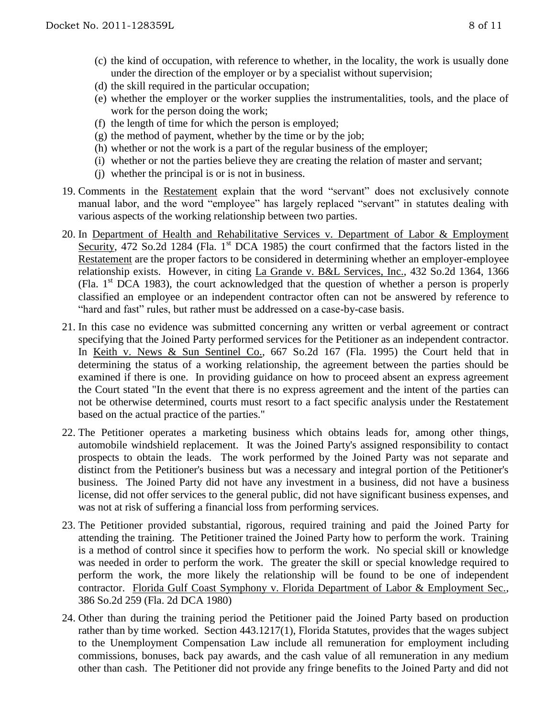- (c) the kind of occupation, with reference to whether, in the locality, the work is usually done under the direction of the employer or by a specialist without supervision;
- (d) the skill required in the particular occupation;
- (e) whether the employer or the worker supplies the instrumentalities, tools, and the place of work for the person doing the work;
- (f) the length of time for which the person is employed;
- $(g)$  the method of payment, whether by the time or by the job;
- (h) whether or not the work is a part of the regular business of the employer;
- (i) whether or not the parties believe they are creating the relation of master and servant;
- (j) whether the principal is or is not in business.
- 19. Comments in the Restatement explain that the word "servant" does not exclusively connote manual labor, and the word "employee" has largely replaced "servant" in statutes dealing with various aspects of the working relationship between two parties.
- 20. In Department of Health and Rehabilitative Services v. Department of Labor & Employment Security, 472 So.2d 1284 (Fla. 1<sup>st</sup> DCA 1985) the court confirmed that the factors listed in the Restatement are the proper factors to be considered in determining whether an employer-employee relationship exists. However, in citing La Grande v. B&L Services, Inc., 432 So.2d 1364, 1366 (Fla.  $1<sup>st</sup> DCA$  1983), the court acknowledged that the question of whether a person is properly classified an employee or an independent contractor often can not be answered by reference to "hard and fast" rules, but rather must be addressed on a case-by-case basis.
- 21. In this case no evidence was submitted concerning any written or verbal agreement or contract specifying that the Joined Party performed services for the Petitioner as an independent contractor. In Keith v. News & Sun Sentinel Co., 667 So.2d 167 (Fla. 1995) the Court held that in determining the status of a working relationship, the agreement between the parties should be examined if there is one. In providing guidance on how to proceed absent an express agreement the Court stated "In the event that there is no express agreement and the intent of the parties can not be otherwise determined, courts must resort to a fact specific analysis under the Restatement based on the actual practice of the parties."
- 22. The Petitioner operates a marketing business which obtains leads for, among other things, automobile windshield replacement. It was the Joined Party's assigned responsibility to contact prospects to obtain the leads. The work performed by the Joined Party was not separate and distinct from the Petitioner's business but was a necessary and integral portion of the Petitioner's business. The Joined Party did not have any investment in a business, did not have a business license, did not offer services to the general public, did not have significant business expenses, and was not at risk of suffering a financial loss from performing services.
- 23. The Petitioner provided substantial, rigorous, required training and paid the Joined Party for attending the training. The Petitioner trained the Joined Party how to perform the work. Training is a method of control since it specifies how to perform the work. No special skill or knowledge was needed in order to perform the work. The greater the skill or special knowledge required to perform the work, the more likely the relationship will be found to be one of independent contractor. Florida Gulf Coast Symphony v. Florida Department of Labor & Employment Sec., 386 So.2d 259 (Fla. 2d DCA 1980)
- 24. Other than during the training period the Petitioner paid the Joined Party based on production rather than by time worked. Section 443.1217(1), Florida Statutes, provides that the wages subject to the Unemployment Compensation Law include all remuneration for employment including commissions, bonuses, back pay awards, and the cash value of all remuneration in any medium other than cash. The Petitioner did not provide any fringe benefits to the Joined Party and did not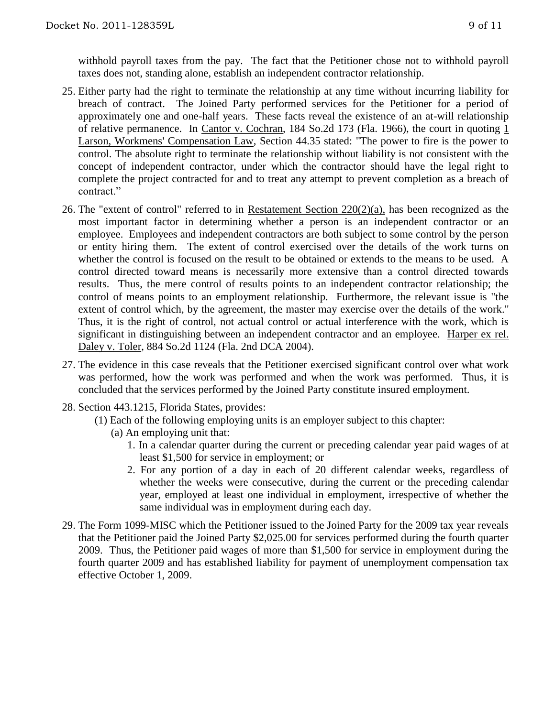withhold payroll taxes from the pay. The fact that the Petitioner chose not to withhold payroll taxes does not, standing alone, establish an independent contractor relationship.

- 25. Either party had the right to terminate the relationship at any time without incurring liability for breach of contract. The Joined Party performed services for the Petitioner for a period of approximately one and one-half years. These facts reveal the existence of an at-will relationship of relative permanence. In Cantor v. Cochran, 184 So.2d 173 (Fla. 1966), the court in quoting 1 Larson, Workmens' Compensation Law, Section 44.35 stated: "The power to fire is the power to control. The absolute right to terminate the relationship without liability is not consistent with the concept of independent contractor, under which the contractor should have the legal right to complete the project contracted for and to treat any attempt to prevent completion as a breach of contract."
- 26. The "extent of control" referred to in Restatement Section  $220(2)(a)$ , has been recognized as the most important factor in determining whether a person is an independent contractor or an employee. Employees and independent contractors are both subject to some control by the person or entity hiring them. The extent of control exercised over the details of the work turns on whether the control is focused on the result to be obtained or extends to the means to be used. A control directed toward means is necessarily more extensive than a control directed towards results. Thus, the mere control of results points to an independent contractor relationship; the control of means points to an employment relationship. Furthermore, the relevant issue is "the extent of control which, by the agreement, the master may exercise over the details of the work." Thus, it is the right of control, not actual control or actual interference with the work, which is significant in distinguishing between an independent contractor and an employee. Harper ex rel. Daley v. Toler, 884 So.2d 1124 (Fla. 2nd DCA 2004).
- 27. The evidence in this case reveals that the Petitioner exercised significant control over what work was performed, how the work was performed and when the work was performed. Thus, it is concluded that the services performed by the Joined Party constitute insured employment.
- 28. Section 443.1215, Florida States, provides:
	- (1) Each of the following employing units is an employer subject to this chapter:
		- (a) An employing unit that:
			- 1. In a calendar quarter during the current or preceding calendar year paid wages of at least \$1,500 for service in employment; or
			- 2. For any portion of a day in each of 20 different calendar weeks, regardless of whether the weeks were consecutive, during the current or the preceding calendar year, employed at least one individual in employment, irrespective of whether the same individual was in employment during each day.
- 29. The Form 1099-MISC which the Petitioner issued to the Joined Party for the 2009 tax year reveals that the Petitioner paid the Joined Party \$2,025.00 for services performed during the fourth quarter 2009. Thus, the Petitioner paid wages of more than \$1,500 for service in employment during the fourth quarter 2009 and has established liability for payment of unemployment compensation tax effective October 1, 2009.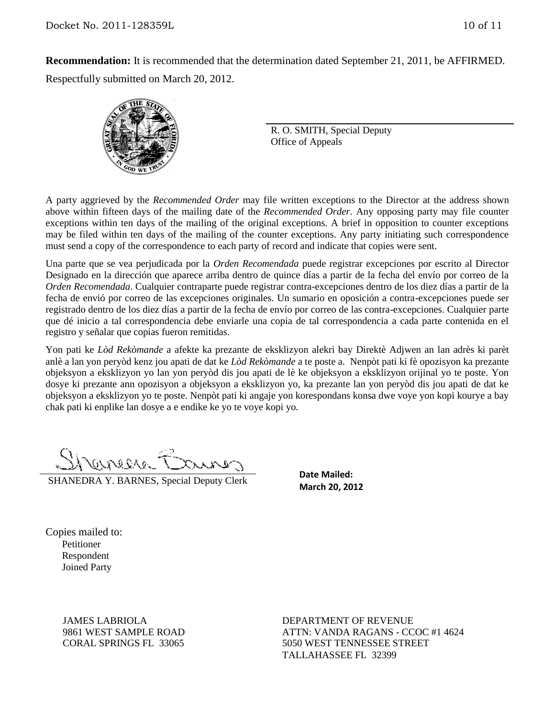**Recommendation:** It is recommended that the determination dated September 21, 2011, be AFFIRMED. Respectfully submitted on March 20, 2012.



R. O. SMITH, Special Deputy Office of Appeals

A party aggrieved by the *Recommended Order* may file written exceptions to the Director at the address shown above within fifteen days of the mailing date of the *Recommended Order*. Any opposing party may file counter exceptions within ten days of the mailing of the original exceptions. A brief in opposition to counter exceptions may be filed within ten days of the mailing of the counter exceptions. Any party initiating such correspondence must send a copy of the correspondence to each party of record and indicate that copies were sent.

Una parte que se vea perjudicada por la *Orden Recomendada* puede registrar excepciones por escrito al Director Designado en la dirección que aparece arriba dentro de quince días a partir de la fecha del envío por correo de la *Orden Recomendada*. Cualquier contraparte puede registrar contra-excepciones dentro de los diez días a partir de la fecha de envió por correo de las excepciones originales. Un sumario en oposición a contra-excepciones puede ser registrado dentro de los diez días a partir de la fecha de envío por correo de las contra-excepciones. Cualquier parte que dé inicio a tal correspondencia debe enviarle una copia de tal correspondencia a cada parte contenida en el registro y señalar que copias fueron remitidas.

Yon pati ke *Lòd Rekòmande* a afekte ka prezante de eksklizyon alekri bay Direktè Adjwen an lan adrès ki parèt anlè a lan yon peryòd kenz jou apati de dat ke *Lòd Rekòmande* a te poste a. Nenpòt pati ki fè opozisyon ka prezante objeksyon a eksklizyon yo lan yon peryòd dis jou apati de lè ke objeksyon a eksklizyon orijinal yo te poste. Yon dosye ki prezante ann opozisyon a objeksyon a eksklizyon yo, ka prezante lan yon peryòd dis jou apati de dat ke objeksyon a eksklizyon yo te poste. Nenpòt pati ki angaje yon korespondans konsa dwe voye yon kopi kourye a bay chak pati ki enplike lan dosye a e endike ke yo te voye kopi yo.

SHANEDRA Y. BARNES, Special Deputy Clerk

**Date Mailed: March 20, 2012**

Copies mailed to: Petitioner Respondent Joined Party

> JAMES LABRIOLA 9861 WEST SAMPLE ROAD CORAL SPRINGS FL 33065

DEPARTMENT OF REVENUE ATTN: VANDA RAGANS - CCOC #1 4624 5050 WEST TENNESSEE STREET TALLAHASSEE FL 32399